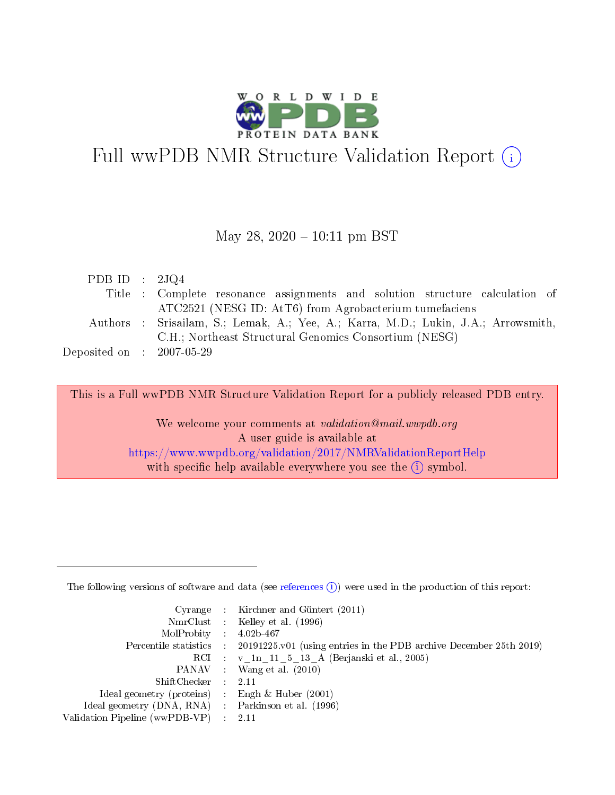

# Full wwPDB NMR Structure Validation Report (i)

### May 28,  $2020 - 10:11$  pm BST

| PDB ID : $2JQ4$                      |                                                                                    |
|--------------------------------------|------------------------------------------------------------------------------------|
|                                      | Title : Complete resonance assignments and solution structure calculation of       |
|                                      | ATC2521 (NESG ID: AtT6) from Agrobacterium tumefaciens                             |
|                                      | Authors : Srisailam, S.; Lemak, A.; Yee, A.; Karra, M.D.; Lukin, J.A.; Arrowsmith, |
|                                      | C.H.; Northeast Structural Genomics Consortium (NESG)                              |
| Deposited on $\therefore$ 2007-05-29 |                                                                                    |

This is a Full wwPDB NMR Structure Validation Report for a publicly released PDB entry.

We welcome your comments at *validation@mail.wwpdb.org* A user guide is available at <https://www.wwpdb.org/validation/2017/NMRValidationReportHelp> with specific help available everywhere you see the  $(i)$  symbol.

The following versions of software and data (see [references](https://www.wwpdb.org/validation/2017/NMRValidationReportHelp#references)  $(1)$ ) were used in the production of this report:

|                                                    | Cyrange : Kirchner and Güntert $(2011)$                                                    |
|----------------------------------------------------|--------------------------------------------------------------------------------------------|
|                                                    | NmrClust : Kelley et al. (1996)                                                            |
| $MolProbability$ 4.02b-467                         |                                                                                            |
|                                                    | Percentile statistics : 20191225.v01 (using entries in the PDB archive December 25th 2019) |
|                                                    | RCI : v 1n 11 5 13 A (Berjanski et al., 2005)                                              |
|                                                    | PANAV Wang et al. (2010)                                                                   |
| $ShiftChecker$ : 2.11                              |                                                                                            |
| Ideal geometry (proteins) : Engh $\&$ Huber (2001) |                                                                                            |
| Ideal geometry (DNA, RNA) Parkinson et al. (1996)  |                                                                                            |
| Validation Pipeline (wwPDB-VP)                     | 2.11                                                                                       |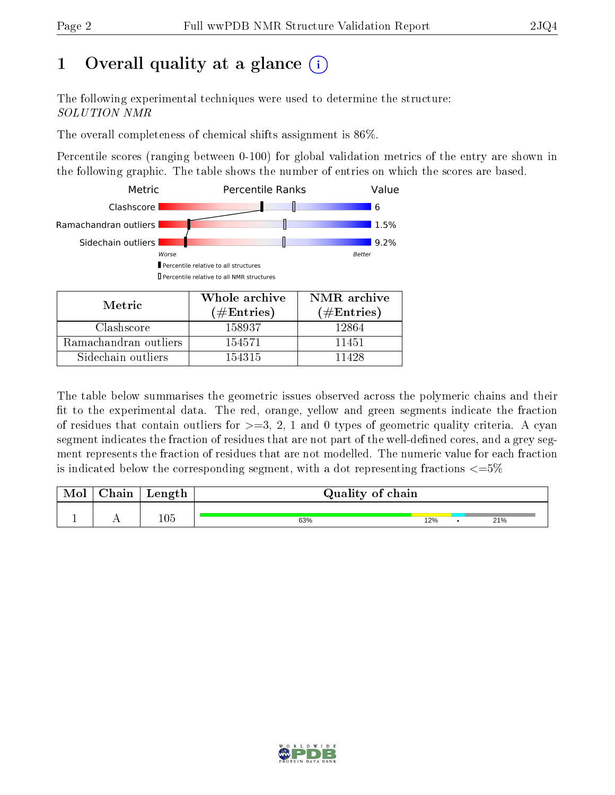# 1 [O](https://www.wwpdb.org/validation/2017/NMRValidationReportHelp#overall_quality)verall quality at a glance (i)

The following experimental techniques were used to determine the structure: SOLUTION NMR

The overall completeness of chemical shifts assignment is 86%.

Percentile scores (ranging between 0-100) for global validation metrics of the entry are shown in the following graphic. The table shows the number of entries on which the scores are based.



Sidechain outliers  $\vert$  154315 11428

The table below summarises the geometric issues observed across the polymeric chains and their fit to the experimental data. The red, orange, yellow and green segments indicate the fraction of residues that contain outliers for  $>=$  3, 2, 1 and 0 types of geometric quality criteria. A cyan segment indicates the fraction of residues that are not part of the well-defined cores, and a grey segment represents the fraction of residues that are not modelled. The numeric value for each fraction is indicated below the corresponding segment, with a dot representing fractions  $\epsilon = 5\%$ 

| Mol | $\gamma$ hain | Length  | Quality of chain |     |     |
|-----|---------------|---------|------------------|-----|-----|
|     | . .           | $105\,$ | 63%              | 12% | 21% |

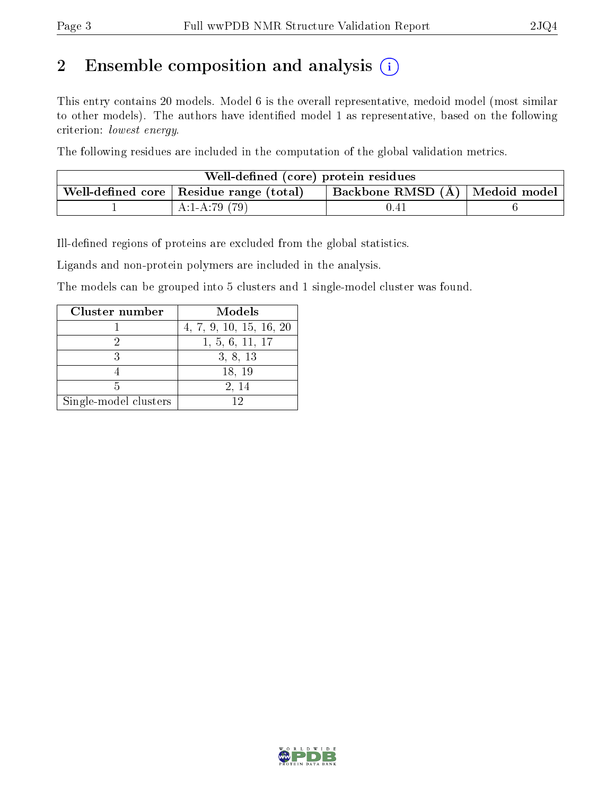# 2 Ensemble composition and analysis  $(i)$

This entry contains 20 models. Model 6 is the overall representative, medoid model (most similar to other models). The authors have identified model 1 as representative, based on the following criterion: lowest energy.

The following residues are included in the computation of the global validation metrics.

| Well-defined (core) protein residues |                                                |                                                      |  |  |  |  |  |  |  |  |  |  |
|--------------------------------------|------------------------------------------------|------------------------------------------------------|--|--|--|--|--|--|--|--|--|--|
|                                      | Well-defined core $\mid$ Residue range (total) | $^\top$ Backbone RMSD (Å) $\mid$ Medoid model $\mid$ |  |  |  |  |  |  |  |  |  |  |
|                                      | $A:1-A:79(79)$                                 | 0.41                                                 |  |  |  |  |  |  |  |  |  |  |

Ill-defined regions of proteins are excluded from the global statistics.

Ligands and non-protein polymers are included in the analysis.

The models can be grouped into 5 clusters and 1 single-model cluster was found.

| Cluster number        | Models                  |
|-----------------------|-------------------------|
|                       | 4, 7, 9, 10, 15, 16, 20 |
|                       | 1, 5, 6, 11, 17         |
|                       | 3, 8, 13                |
|                       | 18, 19                  |
|                       | 2, 14                   |
| Single-model clusters |                         |

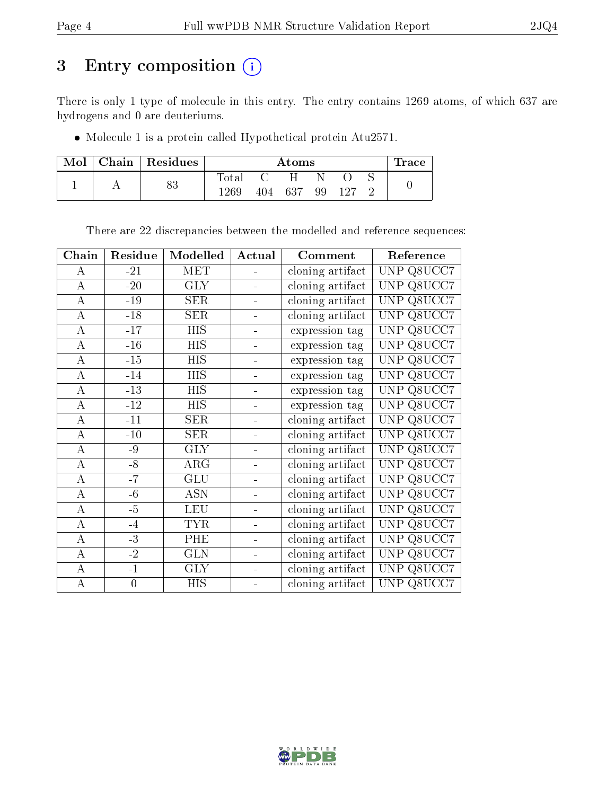# 3 Entry composition (i)

There is only 1 type of molecule in this entry. The entry contains 1269 atoms, of which 637 are hydrogens and 0 are deuteriums.

Molecule 1 is a protein called Hypothetical protein Atu2571.

| Mol | Chain   Residues |             | Atoms      |     |    |      |  |  |  |  |  |  |  |  |  |
|-----|------------------|-------------|------------|-----|----|------|--|--|--|--|--|--|--|--|--|
|     | ດ ດ              | $\rm Total$ | <b>C</b> 1 | H   |    |      |  |  |  |  |  |  |  |  |  |
|     | ΟJ               | -269        | 404        | 637 | 99 | -127 |  |  |  |  |  |  |  |  |  |

There are 22 discrepancies between the modelled and reference sequences:

| Chain              | Residue        | Modelled                | Actual         | Comment          | Reference            |
|--------------------|----------------|-------------------------|----------------|------------------|----------------------|
| $\bf{A}$           | $-21$          | <b>MET</b>              |                | cloning artifact | Q8UCC7<br>UNP.       |
| $\overline{\rm A}$ | $-20$          | $\overline{\text{GLY}}$ |                | cloning artifact | Q8UCC7<br>UNP        |
| $\overline{A}$     | $-19$          | <b>SER</b>              |                | cloning artifact | Q8UCC7<br><b>UNP</b> |
| $\overline{\rm A}$ | $-18$          | SER                     |                | cloning artifact | Q8UCC7<br>UNP        |
| А                  | $-17$          | <b>HIS</b>              |                | expression tag   | Q8UCC7<br><b>UNP</b> |
| $\boldsymbol{A}$   | $-16$          | <b>HIS</b>              |                | expression tag   | Q8UCC7<br>UNP        |
| $\overline{A}$     | $-15$          | $\overline{HIS}$        |                | expression tag   | <b>UNP</b><br>Q8UCC7 |
| $\boldsymbol{A}$   | $-14$          | <b>HIS</b>              |                | expression tag   | Q8UCC7<br><b>UNP</b> |
| $\boldsymbol{A}$   | $-13$          | <b>HIS</b>              |                | expression tag   | Q8UCC7<br>UNP        |
| $\boldsymbol{A}$   | $-12$          | <b>HIS</b>              |                | expression tag   | Q8UCC7<br>UNP        |
| $\boldsymbol{A}$   | $-11$          | <b>SER</b>              |                | cloning artifact | <b>UNP</b><br>Q8UCC7 |
| $\overline{A}$     | $-10$          | SER                     |                | cloning artifact | Q8UCC7<br>UNP        |
| $\boldsymbol{A}$   | -9             | <b>GLY</b>              |                | cloning artifact | Q8UCC7<br><b>UNP</b> |
| $\boldsymbol{A}$   | $-8$           | $\rm{ARG}$              |                | cloning artifact | Q8UCC7<br>UNP        |
| $\boldsymbol{A}$   | $-7$           | GLU                     |                | cloning artifact | Q8UCC7<br><b>UNP</b> |
| $\overline{A}$     | $-6$           | <b>ASN</b>              |                | cloning artifact | <b>UNP</b><br>Q8UCC7 |
| $\overline{A}$     | $-5$           | <b>LEU</b>              |                | cloning artifact | Q8UCC7<br><b>UNP</b> |
| $\boldsymbol{A}$   | $-4$           | <b>TYR</b>              |                | cloning artifact | Q8UCC7<br>UNP        |
| $\overline{\rm A}$ | $-3$           | PHE                     |                | cloning artifact | Q8UCC7<br>UNP        |
| $\overline{A}$     | $-2$           | <b>GLN</b>              | $\blacksquare$ | cloning artifact | <b>UNP</b><br>Q8UCC7 |
| $\overline{\rm A}$ | $-1$           | <b>GLY</b>              |                | cloning artifact | UNP.<br>Q8UCC7       |
| $\boldsymbol{A}$   | $\overline{0}$ | <b>HIS</b>              |                | cloning artifact | UNP Q8UCC7           |

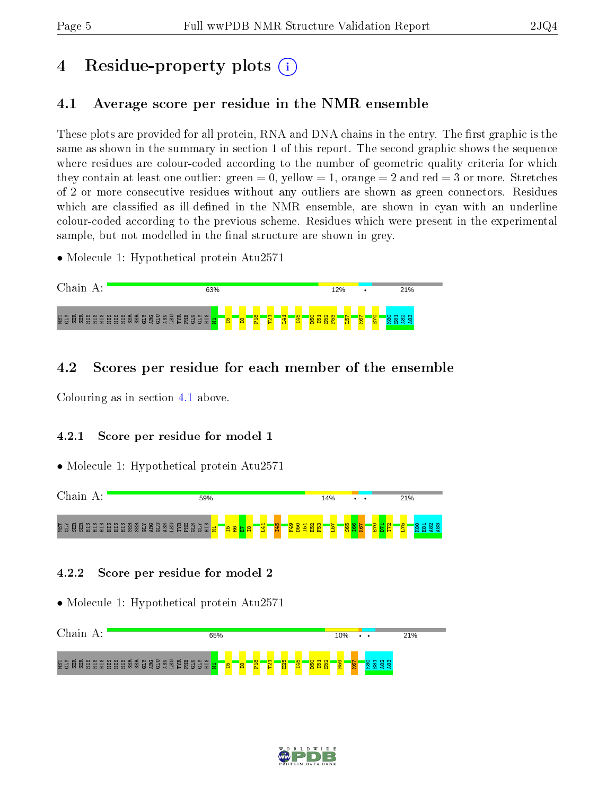# 4 Residue-property plots  $\binom{1}{1}$

# <span id="page-4-0"></span>4.1 Average score per residue in the NMR ensemble

These plots are provided for all protein, RNA and DNA chains in the entry. The first graphic is the same as shown in the summary in section 1 of this report. The second graphic shows the sequence where residues are colour-coded according to the number of geometric quality criteria for which they contain at least one outlier: green  $= 0$ , yellow  $= 1$ , orange  $= 2$  and red  $= 3$  or more. Stretches of 2 or more consecutive residues without any outliers are shown as green connectors. Residues which are classified as ill-defined in the NMR ensemble, are shown in cyan with an underline colour-coded according to the previous scheme. Residues which were present in the experimental sample, but not modelled in the final structure are shown in grey.

• Molecule 1: Hypothetical protein Atu2571



### 4.2 Scores per residue for each member of the ensemble

Colouring as in section [4.1](#page-4-0) above.

### 4.2.1 Score per residue for model 1

• Molecule 1: Hypothetical protein Atu2571



### 4.2.2 Score per residue for model 2



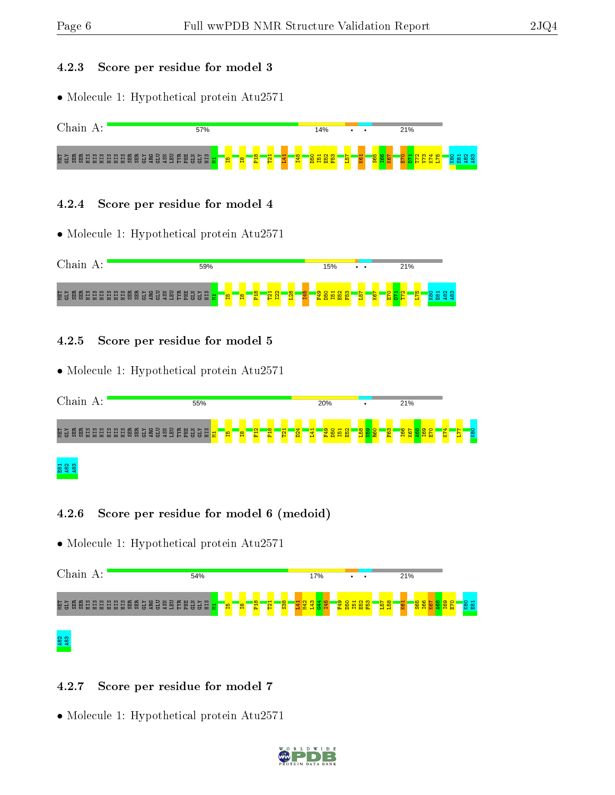#### 4.2.3 Score per residue for model 3

• Molecule 1: Hypothetical protein Atu2571



#### 4.2.4 Score per residue for model 4

• Molecule 1: Hypothetical protein Atu2571



### 4.2.5 Score per residue for model 5

• Molecule 1: Hypothetical protein Atu2571



### ន និនី និ

### 4.2.6 Score per residue for model 6 (medoid)

• Molecule 1: Hypothetical protein Atu2571



### 4.2.7 Score per residue for model 7

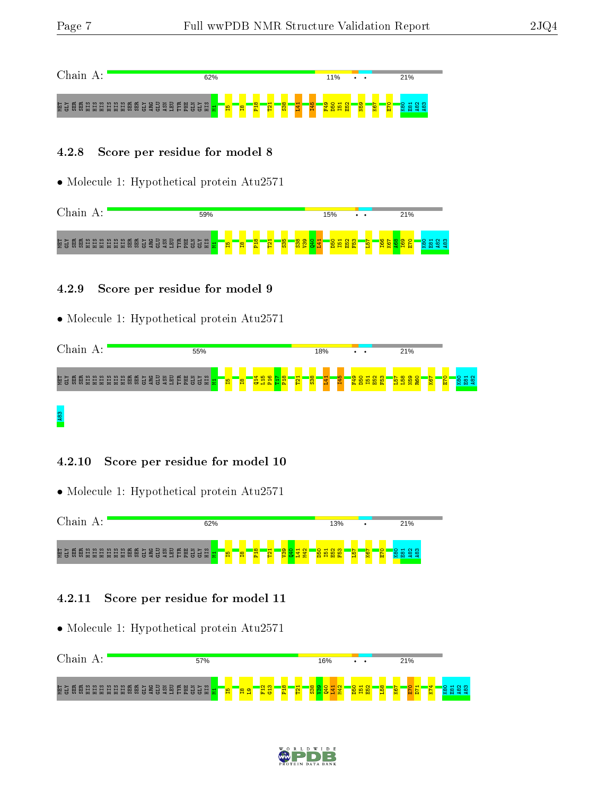**A83** 



#### 4.2.8 Score per residue for model 8

• Molecule 1: Hypothetical protein Atu2571

| $^\circ$ hain.                                      | 59%                                                   |   |                |               |            |                |                    | 15%               |           | $\cdot$ $\cdot$ |         | 21%      |     |
|-----------------------------------------------------|-------------------------------------------------------|---|----------------|---------------|------------|----------------|--------------------|-------------------|-----------|-----------------|---------|----------|-----|
| 2025<br>្អ <u>្គ</u> រ ជូន ជូន ដូ<br><b>图</b><br>ES | E<br>E<br>E<br>E<br>医思<br>ម្មីដូ<br><b>ASSE</b><br>없음 | н | $\frac{8}{10}$ | $\infty$<br>률 | <b>Pal</b> | $\frac{55}{5}$ | $\frac{8}{2}$<br>ă | B<br>ТC<br>ю<br>m | ıΩ.<br>b. | r<br><b>SC</b>  | ۰o<br>× | <b>D</b> | പ ത |

### 4.2.9 Score per residue for model 9

• Molecule 1: Hypothetical protein Atu2571

| Chain<br>А:                                         | 55%                  |                                                    | 18%                                                  | $\cdot$ $\cdot$             | 21%                                        |                                                                      |
|-----------------------------------------------------|----------------------|----------------------------------------------------|------------------------------------------------------|-----------------------------|--------------------------------------------|----------------------------------------------------------------------|
| <b>គិ</b> 3 ម្ដី ម្ដ<br><b>BBBBBBBBBBBB</b><br>ដ្ឋម | EN<br>EHE<br>읩<br>불문 | <b>456F</b><br>$\infty$<br>留<br>흉률<br>- 굽 급<br>Ιò. | ு<br>Ħ<br>ம<br><b>HI</b><br><b>B</b><br>$\mathbf{P}$ | <b>P49</b><br>D50<br>뗩<br>留 | œ<br>0<br>E<br>∞<br>N<br>B<br>粤<br>9X<br>æ | $H_{\alpha}$<br>$\circ$<br>$\overline{\phantom{0}}$<br>g<br>留 3<br>阎 |
|                                                     |                      |                                                    |                                                      |                             |                                            |                                                                      |

• Molecule 1: Hypothetical protein Atu2571

4.2.10 Score per residue for model 10



### 4.2.11 Score per residue for model 11



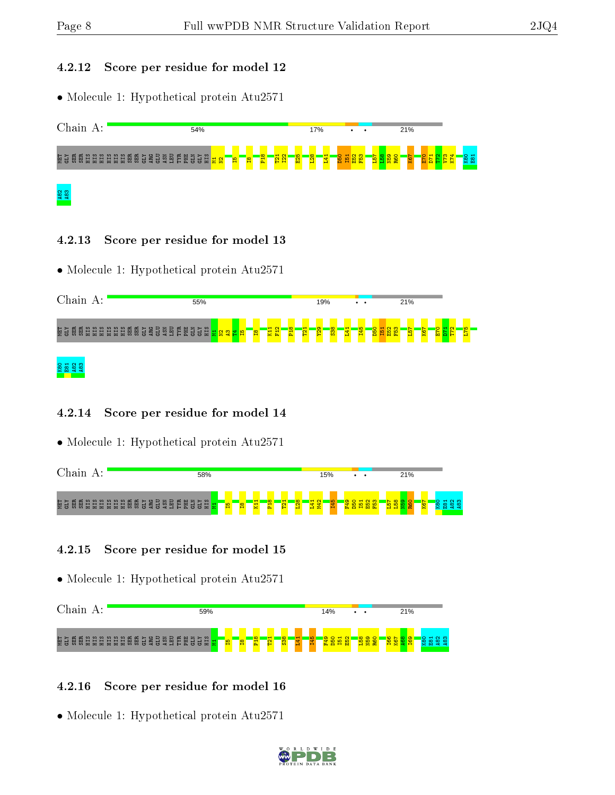#### 4.2.12 Score per residue for model 12

• Molecule 1: Hypothetical protein Atu2571



### 4.2.13 Score per residue for model 13

• Molecule 1: Hypothetical protein Atu2571

| Chain A:                                                               | 55%                                                                                             |                                                  | 19%<br>$\cdot$ $\cdot$                                                     | 21%                                      |  |
|------------------------------------------------------------------------|-------------------------------------------------------------------------------------------------|--------------------------------------------------|----------------------------------------------------------------------------|------------------------------------------|--|
| NTI<br>GEY<br>œ<br>惡<br>恖<br>恖<br>븀<br>冒<br>冒<br>量<br>꾰<br>景<br>日<br>量 | PHE<br>GLN<br>) 음료<br>- 음료 <mark>음</mark><br><b>GLY</b><br>묩<br>ដូន<br>Ë<br>喜<br><b>일본</b><br>읩 | $\infty$<br>$\mathbf -$<br>H<br>ē<br>留<br>문<br>문 | $\overline{\text{ss}}$<br>$\sigma$<br><u>ю</u><br><b>Section</b><br>2<br>핰 | D <sub>50</sub><br>-<br>8<br>留<br>읩<br>岊 |  |
| <b>RB1</b><br>EB1<br>482<br>ത്                                         |                                                                                                 |                                                  |                                                                            |                                          |  |

### 4.2.14 Score per residue for model 14

• Molecule 1: Hypothetical protein Atu2571

| $\alpha$ ain $\alpha$ | 58%                                                             |                 |   |                 |   |   |             | 15% |                 | $\cdot$ $\cdot$ |                                |  | 21% |                |  |          |
|-----------------------|-----------------------------------------------------------------|-----------------|---|-----------------|---|---|-------------|-----|-----------------|-----------------|--------------------------------|--|-----|----------------|--|----------|
| 절일<br>м<br>$\Omega$   | រុំ ធ្លី ដូង ដូង ដូង ធ្លី ដូន ដូន ដូង ដូន ដូ <mark>ង ដ</mark> ូ | <b>SOL</b><br>н | Ħ | $\infty$<br>'n. | 욥 | ೲ | $\sim$<br>ᆔ |     | В<br><b>Dra</b> | -               | <b>COL</b><br>ΙÖ<br><b>M</b> R |  |     | <b>io</b><br>⊠ |  | ്ന<br>്ന |

### 4.2.15 Score per residue for model 15

• Molecule 1: Hypothetical protein Atu2571



### 4.2.16 Score per residue for model 16

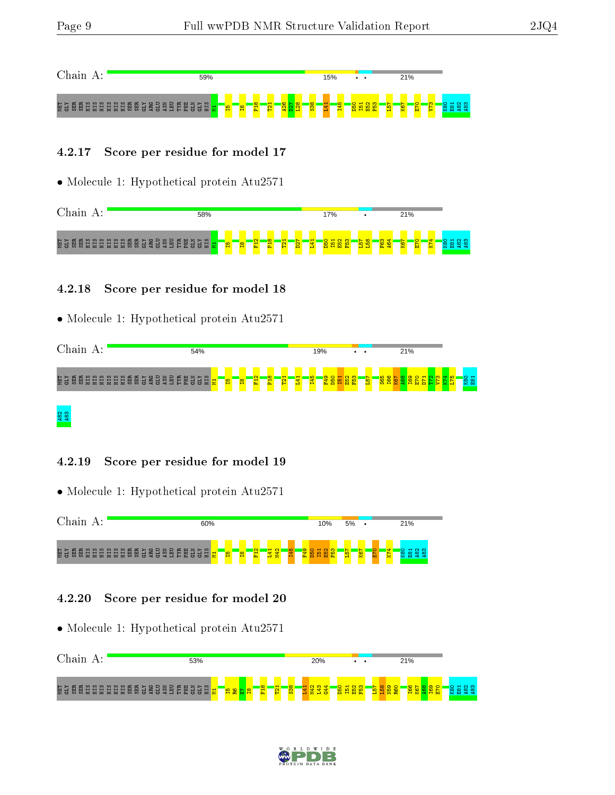

#### 4.2.17 Score per residue for model 17

• Molecule 1: Hypothetical protein Atu2571

| 58% |    |   |              |   |               |         |   | 17%       |     |                                          | 21%         |              |        |                         |
|-----|----|---|--------------|---|---------------|---------|---|-----------|-----|------------------------------------------|-------------|--------------|--------|-------------------------|
|     | 임. | 留 | $\sim$<br>P4 | ு | <b>H</b><br>₽ | N.<br>8 | ÷ | ió.<br>b. | io, | <sub>co</sub><br><u>—</u><br><b>Draw</b> | $\sim$<br>8 | $\circ$<br>凹 | ₩<br>× | $\sim$ $\infty$<br>ထဲထဲ |

### 4.2.18 Score per residue for model 18

• Molecule 1: Hypothetical protein Atu2571

| Chain<br>А:                                                                    | 54%                                                     |               |                                   | 19%            |              | $\cdot$ $\cdot$ | 21%    |                               |
|--------------------------------------------------------------------------------|---------------------------------------------------------|---------------|-----------------------------------|----------------|--------------|-----------------|--------|-------------------------------|
| 恒日<br>GIZ<br><b>GLU</b><br>ASN<br>ؽ<br>恩品<br>š<br>日日<br>照<br>보보<br>ᄇ<br>量<br>昂 | PHE<br><b>GLY</b><br><b>EU</b><br>TTR<br>SШ<br>.금<br>Ξ. | 昌<br><b>P</b> | $\infty$<br>$\sim$<br>횝<br>뤁<br>圖 | 145<br>Ħ<br>24 | 문<br>畄<br>r. |                 | ×<br>м | $\frac{1}{2}$<br>$O$ $H$<br>8 |

# A82 A83

#### 4.2.19 Score per residue for model 19

• Molecule 1: Hypothetical protein Atu2571



#### 4.2.20 Score per residue for model 20



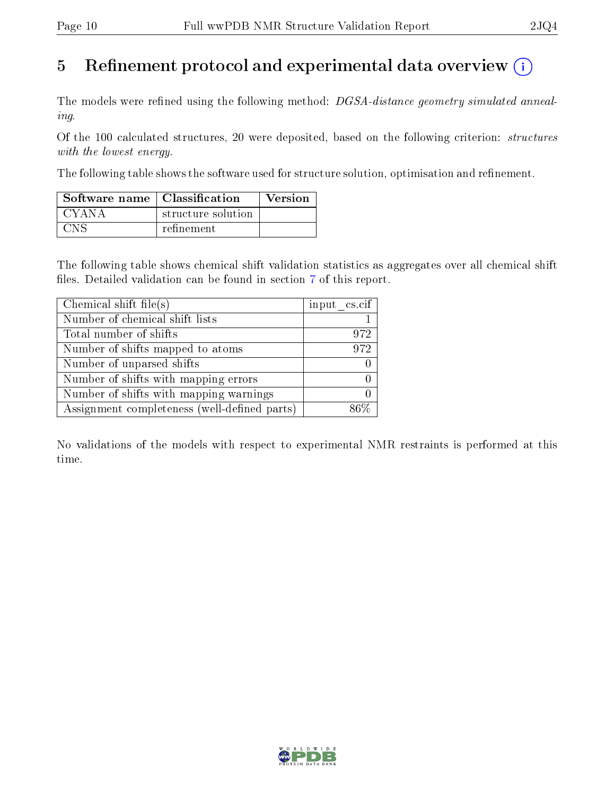# 5 Refinement protocol and experimental data overview  $\binom{1}{k}$

The models were refined using the following method: DGSA-distance geometry simulated annealing.

Of the 100 calculated structures, 20 were deposited, based on the following criterion: structures with the lowest energy.

The following table shows the software used for structure solution, optimisation and refinement.

| Software name   Classification |                    | <b>Version</b> |
|--------------------------------|--------------------|----------------|
| CYANA                          | structure solution |                |
| CNS                            | refinement         |                |

The following table shows chemical shift validation statistics as aggregates over all chemical shift files. Detailed validation can be found in section [7](#page-14-0) of this report.

| Chemical shift file(s)                       | input cs.cif |
|----------------------------------------------|--------------|
| Number of chemical shift lists               |              |
| Total number of shifts                       | 972          |
| Number of shifts mapped to atoms             | 972          |
| Number of unparsed shifts                    |              |
| Number of shifts with mapping errors         |              |
| Number of shifts with mapping warnings       |              |
| Assignment completeness (well-defined parts) |              |

No validations of the models with respect to experimental NMR restraints is performed at this time.

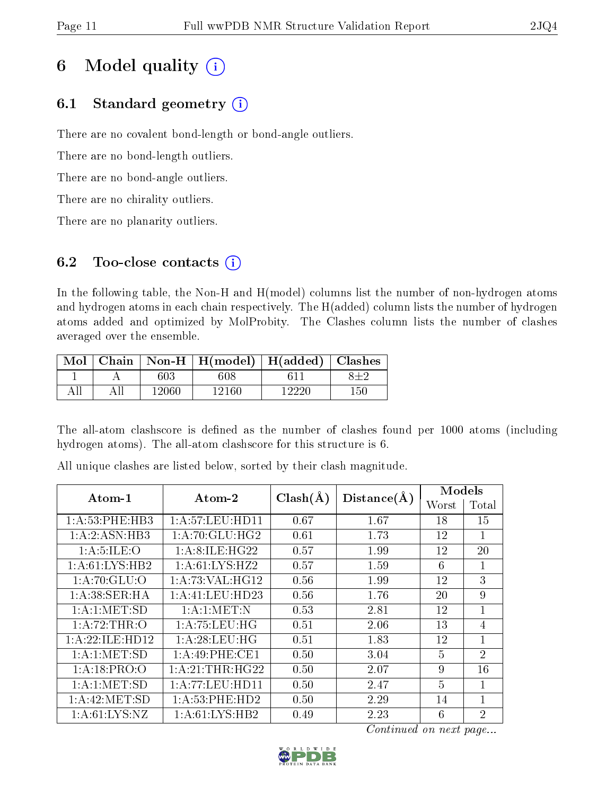# 6 Model quality  $(i)$

# 6.1 Standard geometry  $(i)$

There are no covalent bond-length or bond-angle outliers.

There are no bond-length outliers.

There are no bond-angle outliers.

There are no chirality outliers.

There are no planarity outliers.

# 6.2 Too-close contacts  $(i)$

In the following table, the Non-H and H(model) columns list the number of non-hydrogen atoms and hydrogen atoms in each chain respectively. The H(added) column lists the number of hydrogen atoms added and optimized by MolProbity. The Clashes column lists the number of clashes averaged over the ensemble.

| Mol |       | Chain   Non-H   H(model)   H(added)   Clashes |       |     |
|-----|-------|-----------------------------------------------|-------|-----|
|     | 603   | 608                                           |       |     |
|     | 12060 | -12160 -                                      | 19990 | 150 |

The all-atom clashscore is defined as the number of clashes found per 1000 atoms (including hydrogen atoms). The all-atom clashscore for this structure is 6.

|                   | Atom-2              |              |             | Models         |                |
|-------------------|---------------------|--------------|-------------|----------------|----------------|
| Atom-1            |                     | $Clash(\AA)$ | Distance(A) | Worst          | Total          |
| 1: A:53:PHE:HB3   | 1: A:57:LEU:HD11    | 0.67         | 1.67        | 18             | 15             |
| 1:A:2:ASN:HB3     | 1: A:70: GLU: HG2   | $0.61\,$     | 1.73        | 12             | 1              |
| 1: A: 5: ILE: O   | 1: A:8: ILE: HG22   | 0.57         | 1.99        | 12             | 20             |
| 1:A:61:LYS:HB2    | 1: A:61:LYS:HZ2     | 0.57         | 1.59        | 6              | 1              |
| 1: A:70: GLU:O    | 1: A:73: VAL:HG12   | 0.56         | 1.99        | 12             | 3              |
| 1: A:38: SER: HA  | 1: A: 41: LEU: HD23 | 0.56         | 1.76        | 20             | 9              |
| 1: A: 1: MET: SD  | 1: A: 1: MET: N     | 0.53         | 2.81        | 12             | 1              |
| 1:A:72:THR:O      | 1: A:75:LEU:HG      | 0.51         | 2.06        | 13             | $\overline{4}$ |
| 1:A:22:ILE:HD12   | 1: A:28:LEU:HG      | 0.51         | 1.83        | 12             | $\mathbf{1}$   |
| 1: A:1: MET:SD    | 1:A:49:PHE:CE1      | 0.50         | 3.04        | $\overline{5}$ | $\overline{2}$ |
| 1:A:18:PRO:O      | 1: A:21:THR:HG22    | 0.50         | 2.07        | 9              | 16             |
| 1: A:1: MET:SD    | 1:A:77:LEU:HD11     | 0.50         | 2.47        | $\overline{5}$ | $\mathbf{1}$   |
| 1: A:42: MET:SD   | 1:A:53:PHE:HD2      | 0.50         | 2.29        | 14             | 1              |
| 1: A: 61: LYS: NZ | 1:A:61:LYS:HB2      | 0.49         | 2.23        | 6              | $\overline{2}$ |

All unique clashes are listed below, sorted by their clash magnitude.

Continued on next page...

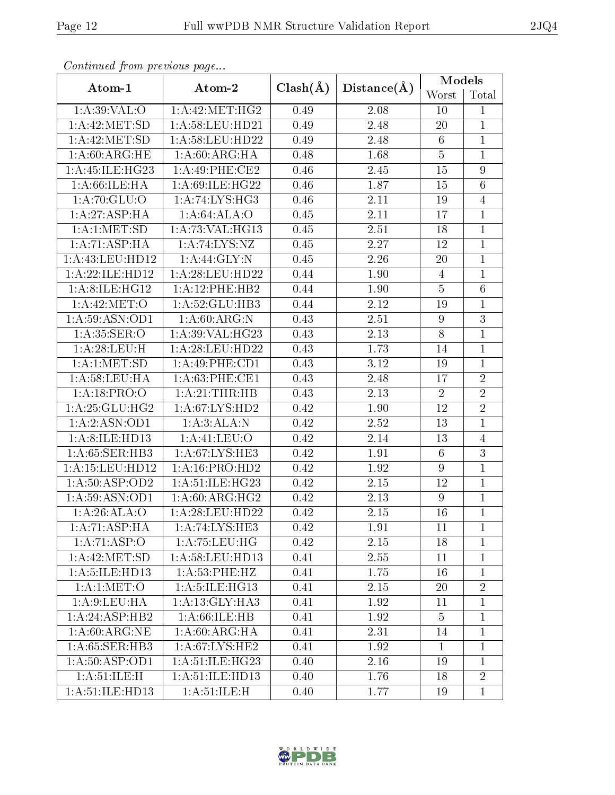| Continuum from proctions page |                    |              |             | Models           |                |
|-------------------------------|--------------------|--------------|-------------|------------------|----------------|
| Atom-1                        | Atom-2             | $Clash(\AA)$ | Distance(A) | Worst            | Total          |
| 1: A:39:VAL:O                 | 1: A:42: MET:HG2   | 0.49         | 2.08        | 10               | $\mathbf{1}$   |
| 1: A:42: MET:SD               | $1:$ A:58:LEU:HD21 | 0.49         | 2.48        | 20               | $\mathbf{1}$   |
| 1: A:42: MET:SD               | 1: A:58: LEU: HD22 | 0.49         | 2.48        | $6\phantom{.}$   | $\mathbf{1}$   |
| 1: A:60:ARG:HE                | 1: A:60:ARG:HA     | 0.48         | 1.68        | $\overline{5}$   | $\mathbf 1$    |
| 1:A:45:ILE:HG23               | 1:A:49:PHE:CE2     | 0.46         | 2.45        | 15               | 9              |
| 1: A:66:ILE: HA               | 1: A:69: ILE: HG22 | 0.46         | 1.87        | 15               | $\overline{6}$ |
| 1: A:70: GLU:O                | 1:A:74:LYS:HG3     | 0.46         | 2.11        | 19               | $\overline{4}$ |
| 1:A:27:ASP:HA                 | 1:A:64:ALA:O       | 0.45         | 2.11        | 17               | $\mathbf{1}$   |
| 1: A:1: MET:SD                | 1: A:73: VAL:HG13  | 0.45         | 2.51        | 18               | $\mathbf{1}$   |
| 1:A:71:ASP:HA                 | 1: A:74: LYS: NZ   | 0.45         | 2.27        | 12               | $\mathbf{1}$   |
| 1:A:43:LEU:HD12               | 1:A:44:GLY:N       | 0.45         | 2.26        | 20               | $\overline{1}$ |
| 1:A:22:ILE:HD12               | 1:A:28:LEU:HD22    | 0.44         | 1.90        | $\overline{4}$   | $\mathbf{1}$   |
| 1:A:8:ILE:HG12                | 1:A:12:PHE:HB2     | 0.44         | 1.90        | $\overline{5}$   | 6              |
| 1: A:42: MET:O                | 1:A:52:GLU:HB3     | 0.44         | 2.12        | 19               | $\mathbf{1}$   |
| 1: A:59: ASN:OD1              | 1: A:60: ARG: N    | 0.43         | 2.51        | 9                | 3              |
| 1: A:35: SER:O                | 1: A:39: VAL:HG23  | 0.43         | 2.13        | $8\,$            | $\mathbf{1}$   |
| 1: A:28:LEU:H                 | 1:A:28:LEU:HD22    | 0.43         | 1.73        | 14               | $\mathbf{1}$   |
| 1: A:1: MET:SD                | 1: A:49:PHE:CD1    | 0.43         | 3.12        | 19               | $\mathbf{1}$   |
| 1: A:58:LEU:HA                | 1: A:63:PHE:CE1    | 0.43         | 2.48        | 17               | $\overline{2}$ |
| 1:A:18:PRO:O                  | 1:A:21:THR:HB      | 0.43         | 2.13        | $\overline{2}$   | $\overline{2}$ |
| 1: A:25:GLU:HG2               | 1: A:67: LYS: HD2  | 0.42         | 1.90        | 12               | $\overline{2}$ |
| 1:A:2:ASN:OD1                 | 1: A:3: ALA: N     | 0.42         | 2.52        | 13               | $\mathbf{1}$   |
| 1:A:8:ILE:HD13                | 1:A:41:LEU:O       | 0.42         | 2.14        | 13               | $\overline{4}$ |
| 1:A:65:SER:HB3                | 1: A:67: LYS: HE3  | 0.42         | 1.91        | $6\phantom{.}6$  | 3              |
| 1:A:15:LEU:HD12               | 1:A:16:PRO:HD2     | 0.42         | 1.92        | $\boldsymbol{9}$ | $\overline{1}$ |
| 1: A:50: ASP:OD2              | 1: A:51: ILE: HG23 | 0.42         | 2.15        | 12               | $\mathbf{1}$   |
| 1: A:59: ASN:OD1              | 1: A:60: ARG: HG2  | 0.42         | 2.13        | $9\phantom{.0}$  | $\mathbf 1$    |
| 1:A:26:ALA:O                  | 1:A:28:LEU:HD22    | 0.42         | 2.15        | 16               | $\overline{1}$ |
| 1:A:71:ASP:HA                 | 1:A:74:LYS:HE3     | 0.42         | 1.91        | 11               | $\mathbf{1}$   |
| 1:A:71:ASP:O                  | 1: A:75:LEU:HG     | 0.42         | 2.15        | 18               | $\mathbf{1}$   |
| 1: A:42: MET:SD               | 1: A:58: LEU: HD13 | 0.41         | 2.55        | 11               | $\mathbf{1}$   |
| 1: A: 5: ILE: HD13            | 1: A: 53: PHE: HZ  | 0.41         | 1.75        | 16               | $\mathbf{1}$   |
| 1: A:1: MET:O                 | 1: A: 5: ILE: HG13 | 0.41         | 2.15        | 20               | $\overline{2}$ |
| 1: A:9: LEU: HA               | 1:A:13:GLY:HA3     | 0.41         | 1.92        | 11               | $\mathbf{1}$   |
| 1:A:24:ASP:HB2                | 1: A:66: ILE: HB   | 0.41         | 1.92        | $\overline{5}$   | $\mathbf{1}$   |
| 1: A:60:ARG:NE                | 1: A:60: ARG: HA   | 0.41         | 2.31        | 14               | $\mathbf{1}$   |
| 1: A:65: SER:HB3              | 1: A:67: LYS: HE2  | 0.41         | 1.92        | $\mathbf{1}$     | $\mathbf{1}$   |
| 1:A:50:ASP:OD1                | 1: A:51: ILE: HG23 | 0.40         | 2.16        | 19               | $\mathbf{1}$   |
| 1: A:51: ILE:H                | 1:A:51:ILE:HD13    | 0.40         | 1.76        | 18               | $\overline{2}$ |
| 1: A:51: ILE: HD13            | 1: A:51: ILE:H     | 0.40         | 1.77        | 19               | $\mathbf{1}$   |

Continued from previous page.

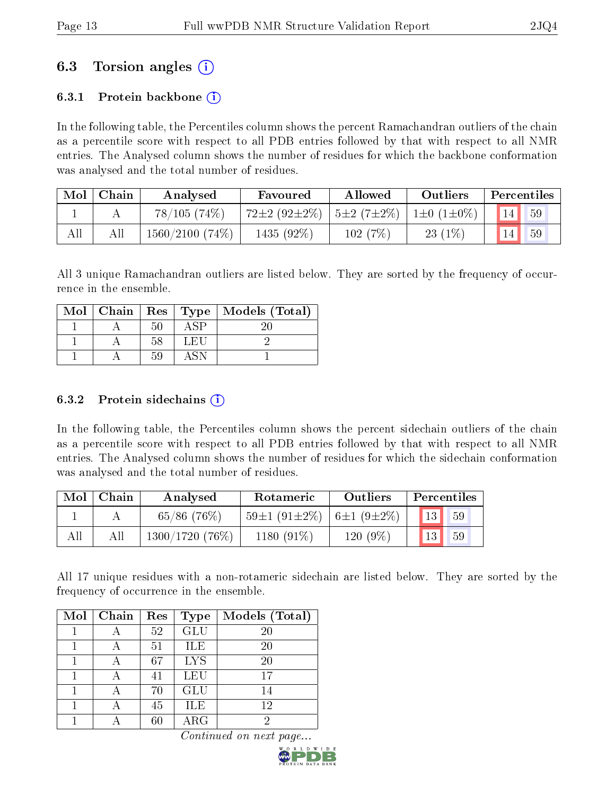# 6.3 Torsion angles (i)

### 6.3.1 Protein backbone  $(i)$

In the following table, the Percentiles column shows the percent Ramachandran outliers of the chain as a percentile score with respect to all PDB entries followed by that with respect to all NMR entries. The Analysed column shows the number of residues for which the backbone conformation was analysed and the total number of residues.

| Mol | Chain | Analysed             | Favoured           | Allowed                     | <b>Outliers</b>  | Percentiles |
|-----|-------|----------------------|--------------------|-----------------------------|------------------|-------------|
|     |       | 78/105(74%)          | $72\pm2(92\pm2\%)$ | $\frac{5 \pm 2}{7 \pm 2\%}$ | $1\pm0(1\pm0\%)$ | 59          |
| All | All   | $1560/2100$ $(74\%)$ | 1435 (92%)         | 102(7%)                     | $23(1\%)$        | 59          |

All 3 unique Ramachandran outliers are listed below. They are sorted by the frequency of occurrence in the ensemble.

|  |    |      | Mol   Chain   Res   Type   Models (Total) |
|--|----|------|-------------------------------------------|
|  |    | \ SP |                                           |
|  | 58 | LEU  |                                           |
|  | 59 |      |                                           |

### 6.3.2 Protein sidechains  $\hat{1}$

In the following table, the Percentiles column shows the percent sidechain outliers of the chain as a percentile score with respect to all PDB entries followed by that with respect to all NMR entries. The Analysed column shows the number of residues for which the sidechain conformation was analysed and the total number of residues.

| Mol | Chain | Analysed       | Rotameric                                        | Outliers | Percentiles          |
|-----|-------|----------------|--------------------------------------------------|----------|----------------------|
|     |       | $65/86$ (76\%) | $59\pm1$ (91 $\pm2\%$ )   6 $\pm1$ (9 $\pm2\%$ ) |          | $13^{\degree}$<br>59 |
| All |       | 1300/1720(76%) | 1180 $(91\%)$                                    | 120 (9%) | 13<br>59             |

All 17 unique residues with a non-rotameric sidechain are listed below. They are sorted by the frequency of occurrence in the ensemble.

| Mol | Chain | Res | <b>Type</b> | Models (Total) |
|-----|-------|-----|-------------|----------------|
|     |       | 52  | <b>GLU</b>  | 20             |
|     |       | 51  | ILE         | 20             |
|     |       | 67  | <b>LYS</b>  | 20             |
|     |       | 41  | LEU         | 17             |
|     |       | 70  | <b>GLU</b>  | 14             |
|     |       | 45  | <b>ILE</b>  | 12             |
|     |       | 60  | ${\rm ARG}$ | 2              |

Continued on next page...

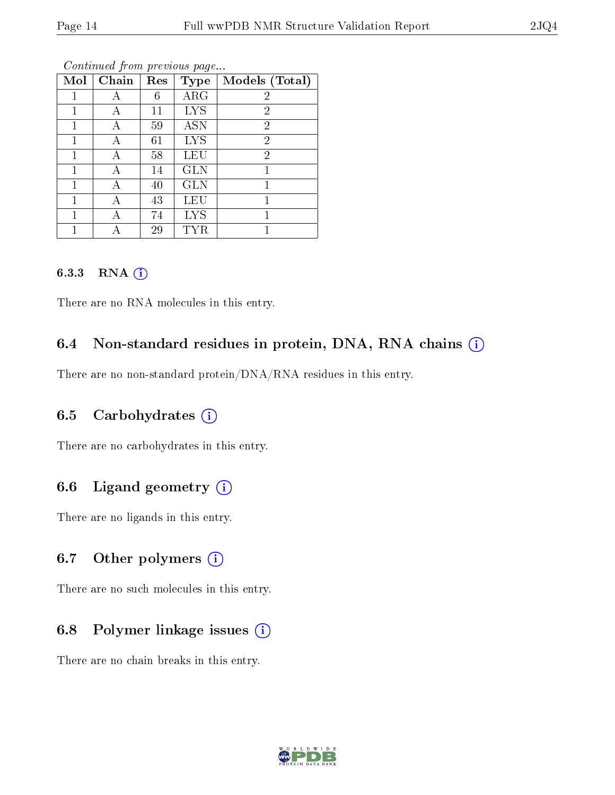| Mol | Chain | Res | <b>Type</b> | Models (Total) |
|-----|-------|-----|-------------|----------------|
|     | А     | 6   | $\rm{ARG}$  | $\overline{2}$ |
|     | А     | 11  | <b>LYS</b>  | $\overline{2}$ |
| 1   |       | 59  | <b>ASN</b>  | $\overline{2}$ |
| 1   | А     | 61  | <b>LYS</b>  | $\overline{2}$ |
|     | А     | 58  | LEU         | $\overline{2}$ |
| 1   | А     | 14  | <b>GLN</b>  |                |
| 1   | А     | 40  | <b>GLN</b>  | 1              |
| 1   | А     | 43  | <b>LEU</b>  |                |
|     |       | 74  | <b>LYS</b>  | 1              |
|     |       | 29  |             |                |

Continued from previous page...

### 6.3.3 RNA [O](https://www.wwpdb.org/validation/2017/NMRValidationReportHelp#rna)i

There are no RNA molecules in this entry.

### 6.4 Non-standard residues in protein, DNA, RNA chains (i)

There are no non-standard protein/DNA/RNA residues in this entry.

### 6.5 Carbohydrates  $(i)$

There are no carbohydrates in this entry.

### 6.6 Ligand geometry  $(i)$

There are no ligands in this entry.

### 6.7 [O](https://www.wwpdb.org/validation/2017/NMRValidationReportHelp#nonstandard_residues_and_ligands)ther polymers  $(i)$

There are no such molecules in this entry.

### 6.8 Polymer linkage issues  $(i)$

There are no chain breaks in this entry.

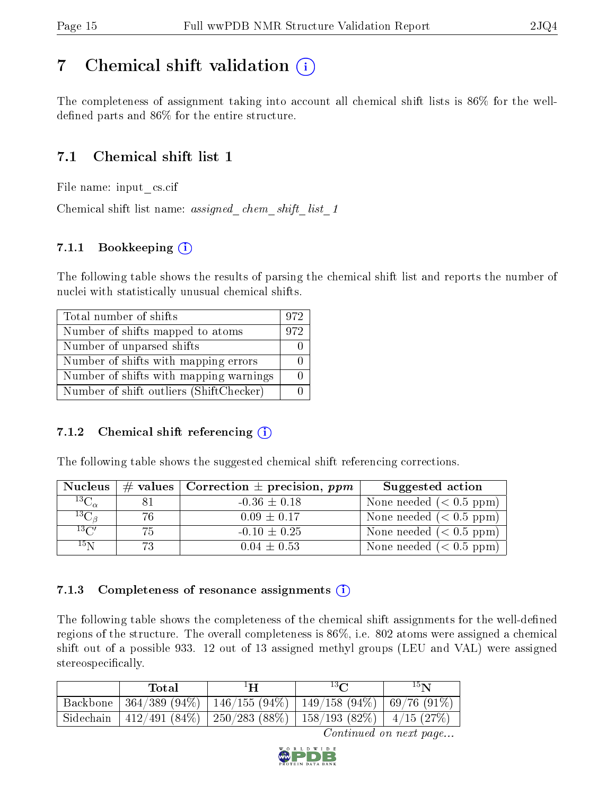# <span id="page-14-0"></span>7 Chemical shift validation  $\left( \begin{array}{c} \overline{1} \end{array} \right)$

The completeness of assignment taking into account all chemical shift lists is 86% for the welldefined parts and  $86\%$  for the entire structure.

# 7.1 Chemical shift list 1

File name: input\_cs.cif

Chemical shift list name: assigned chem shift list 1

### 7.1.1 Bookkeeping (i)

The following table shows the results of parsing the chemical shift list and reports the number of nuclei with statistically unusual chemical shifts.

| Total number of shifts                  | 972 |
|-----------------------------------------|-----|
| Number of shifts mapped to atoms        | 972 |
| Number of unparsed shifts               |     |
| Number of shifts with mapping errors    |     |
| Number of shifts with mapping warnings  |     |
| Number of shift outliers (ShiftChecker) |     |

### 7.1.2 Chemical shift referencing  $(i)$

The following table shows the suggested chemical shift referencing corrections.

| <b>Nucleus</b>     |     | $\#$ values   Correction $\pm$ precision, ppm | Suggested action          |
|--------------------|-----|-----------------------------------------------|---------------------------|
| $^{13}C_{\alpha}$  |     | $-0.36 \pm 0.18$                              | None needed $(0.5 ppm)$   |
| ${}^{13}C_{\beta}$ | 76  | $0.09 \pm 0.17$                               | None needed $(< 0.5$ ppm) |
| $13\text{C}$       | 75. | $-0.10 \pm 0.25$                              | None needed $(< 0.5$ ppm) |
| $15\,\mathrm{N}$   | 73. | $0.04 \pm 0.53$                               | None needed $(< 0.5$ ppm) |

### 7.1.3 Completeness of resonance assignments  $(i)$

The following table shows the completeness of the chemical shift assignments for the well-defined regions of the structure. The overall completeness is 86%, i.e. 802 atoms were assigned a chemical shift out of a possible 933. 12 out of 13 assigned methyl groups (LEU and VAL) were assigned stereospecifically.

| Total | $1\mathbf{H}$                                                          | $13\Omega$ | 15 <sub>N</sub> |
|-------|------------------------------------------------------------------------|------------|-----------------|
|       | Backbone   364/389 (94%)   146/155 (94%)   149/158 (94%)   69/76 (91%) |            |                 |
|       | Sidechain   412/491 (84%)   250/283 (88%)   158/193 (82%)   4/15 (27%) |            |                 |

Continued on next page...